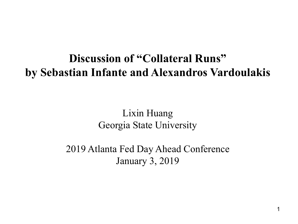#### **Discussion of "Collateral Runs" by Sebastian Infante and Alexandros Vardoulakis**

Lixin Huang Georgia State University

2019 Atlanta Fed Day Ahead Conference January 3, 2019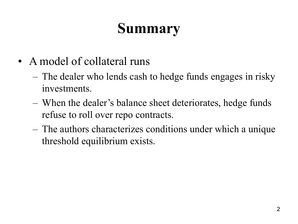# **Summary**

- A model of collateral runs
	- The dealer who lends cash to hedge funds engages in risky investments.
	- When the dealer's balance sheet deteriorates, hedge funds refuse to roll over repo contracts.
	- The authors characterizes conditions under which a unique threshold equilibrium exists.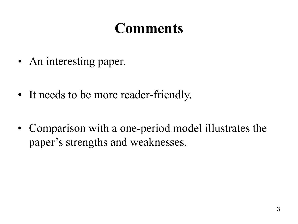- An interesting paper.
- It needs to be more reader-friendly.
- Comparison with a one-period model illustrates the paper's strengths and weaknesses.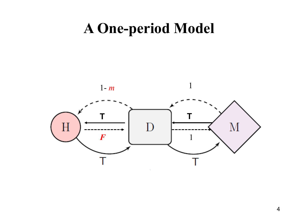#### **A One-period Model**

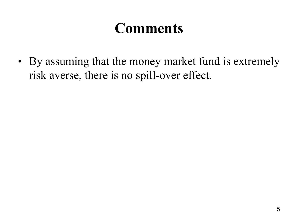• By assuming that the money market fund is extremely risk averse, there is no spill-over effect.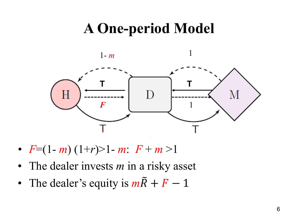# **A One-period Model**



- $F=(1-m)(1+r) > 1-m$ :  $F+m>1$
- The dealer invests *m* in a risky asset
- The dealer's equity is  $m\tilde{R} + F 1$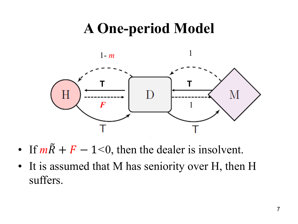# **A One-period Model**



- If  $m\tilde{R} + F 1 \le 0$ , then the dealer is insolvent.
- It is assumed that M has seniority over H, then H suffers.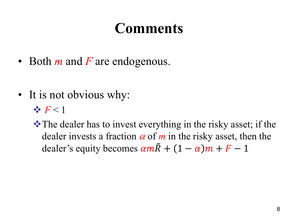- Both *m* and *F* are endogenous.
- It is not obvious why:

 $\rightarrow$   $F < 1$ 

**\*** The dealer has to invest everything in the risky asset; if the dealer invests a fraction  $\alpha$  of  $m$  in the risky asset, then the dealer's equity becomes  $\alpha m \tilde{R} + (1 - \alpha) m + F - 1$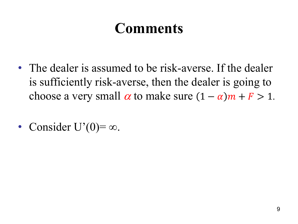- The dealer is assumed to be risk-averse. If the dealer is sufficiently risk-averse, then the dealer is going to choose a very small  $\alpha$  to make sure  $(1 - \alpha)m + F > 1$ .
- Consider U'(0)= $\infty$ .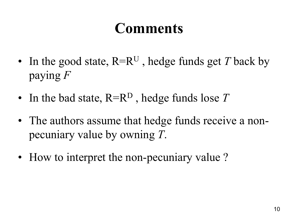- In the good state,  $R=R^U$ , hedge funds get *T* back by paying *F*
- In the bad state, R=R<sup>D</sup>, hedge funds lose T
- The authors assume that hedge funds receive a nonpecuniary value by owning *T*.
- How to interpret the non-pecuniary value?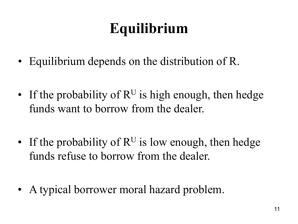# **Equilibrium**

- Equilibrium depends on the distribution of R.
- If the probability of  $R^U$  is high enough, then hedge funds want to borrow from the dealer.
- If the probability of  $R^U$  is low enough, then hedge funds refuse to borrow from the dealer.
- A typical borrower moral hazard problem.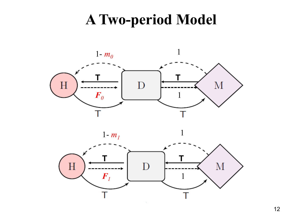#### **A Two-period Model**







 $\mathbf{1}$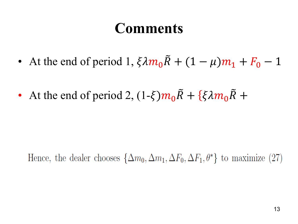- At the end of period 1,  $\xi \lambda m_0 R + (1 \mu) m_1 + F_0 1$
- At the end of period 2,  $(1-\xi)m_0\tilde{R} + {\xi \lambda m_0 \tilde{R} + \xi \lambda m_0 \tilde{R}}$

Hence, the dealer chooses  $\{\Delta m_0, \Delta m_1, \Delta F_0, \Delta F_1, \theta^*\}$  to maximize (27)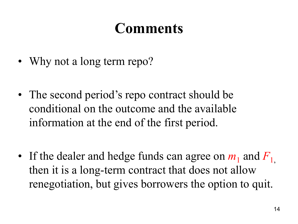- Why not a long term repo?
- The second period's repo contract should be conditional on the outcome and the available information at the end of the first period.
- If the dealer and hedge funds can agree on  $m_1$  and  $F_1$ , then it is a long-term contract that does not allow renegotiation, but gives borrowers the option to quit.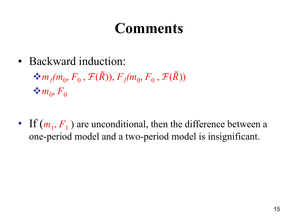- Backward induction:  $\mathbf{\hat{F}}_m$ <sub>1</sub> $(m_0, F_0, \mathcal{F}(\tilde{R}))$ ,  $F_1(m_0, F_0, \mathcal{F}(\tilde{R}))$  $\clubsuit$  *m*<sub>0</sub>, *F*<sub>0</sub>
- If  $(m_1, F_1)$  are unconditional, then the difference between a one-period model and a two-period model is insignificant.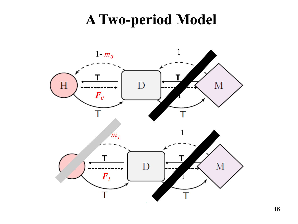#### **A Two-period Model**

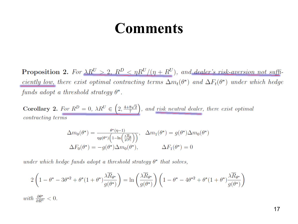**Proposition 2.** For  $\lambda R^U > 2$ ,  $R^D < \eta R^U/(\eta + R^U)$ , and dealer's risk-aversion not sufficiently low, there exist optimal contracting terms  $\Delta m_t(\theta^*)$  and  $\Delta F_t(\theta^*)$  under which hedge funds adopt a threshold strategy  $\theta^*$ .

**Corollary 2.** For  $R^D = 0$ ,  $\lambda R^U \in \left(2, \frac{4+8\sqrt{2}}{7}\right)$ , and risk neutral dealer, there exist optimal *contracting terms* 

$$
\Delta m_0(\theta^*) = \frac{\theta^*(\eta - 1)}{\eta g(\theta^*) \left(1 - \ln\left(\frac{\lambda \overline{R}_{\theta}}{g(\theta)}\right)\right)}, \quad \Delta m_1(\theta^*) = g(\theta^*) \Delta m_0(\theta^*)
$$

$$
\Delta F_0(\theta^*) = -g(\theta^*) \Delta m_0(\theta^*), \qquad \Delta F_1(\theta^*) = 0
$$

under which hedge funds adopt a threshold strategy  $\theta^*$  that solves,

$$
2\left(1-\theta^* - 3\theta^{*2} + \theta^*(1+\theta^*)\frac{\lambda \overline{R}_{\theta^*}}{g(\theta^*)}\right) = \ln\left(\frac{\lambda \overline{R}_{\theta^*}}{g(\theta^*)}\right)\left(1-\theta^* - 4\theta^{*2} + \theta^*(1+\theta^*)\frac{\lambda \overline{R}_{\theta^*}}{g(\theta^*)}\right)
$$

with  $\frac{\partial \theta^*}{\partial R^U} < 0$ .